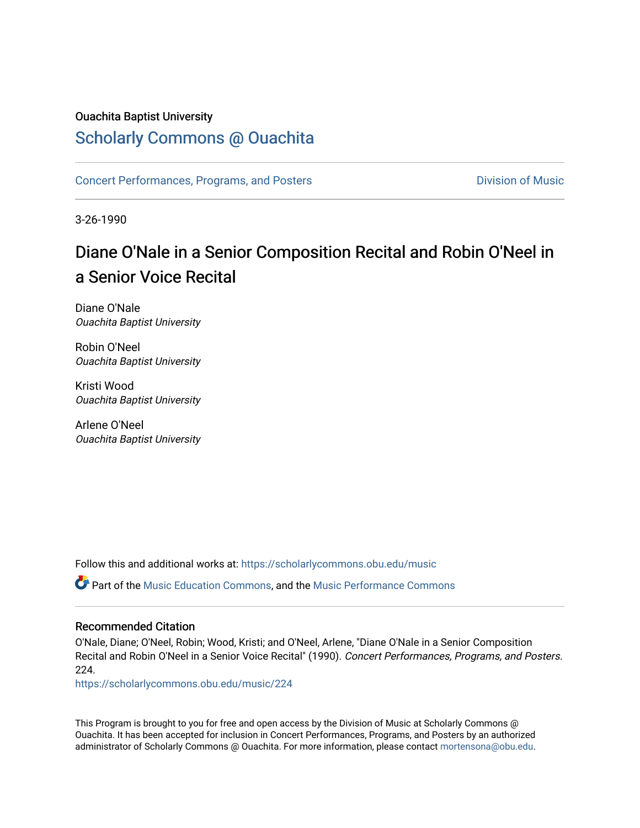# Ouachita Baptist University

# [Scholarly Commons @ Ouachita](https://scholarlycommons.obu.edu/)

[Concert Performances, Programs, and Posters](https://scholarlycommons.obu.edu/music) **Division of Music** Division of Music

3-26-1990

# Diane O'Nale in a Senior Composition Recital and Robin O'Neel in a Senior Voice Recital

Diane O'Nale Ouachita Baptist University

Robin O'Neel Ouachita Baptist University

Kristi Wood Ouachita Baptist University

Arlene O'Neel Ouachita Baptist University

Follow this and additional works at: [https://scholarlycommons.obu.edu/music](https://scholarlycommons.obu.edu/music?utm_source=scholarlycommons.obu.edu%2Fmusic%2F224&utm_medium=PDF&utm_campaign=PDFCoverPages) 

Part of the [Music Education Commons,](http://network.bepress.com/hgg/discipline/1246?utm_source=scholarlycommons.obu.edu%2Fmusic%2F224&utm_medium=PDF&utm_campaign=PDFCoverPages) and the [Music Performance Commons](http://network.bepress.com/hgg/discipline/1128?utm_source=scholarlycommons.obu.edu%2Fmusic%2F224&utm_medium=PDF&utm_campaign=PDFCoverPages) 

### Recommended Citation

O'Nale, Diane; O'Neel, Robin; Wood, Kristi; and O'Neel, Arlene, "Diane O'Nale in a Senior Composition Recital and Robin O'Neel in a Senior Voice Recital" (1990). Concert Performances, Programs, and Posters. 224.

[https://scholarlycommons.obu.edu/music/224](https://scholarlycommons.obu.edu/music/224?utm_source=scholarlycommons.obu.edu%2Fmusic%2F224&utm_medium=PDF&utm_campaign=PDFCoverPages) 

This Program is brought to you for free and open access by the Division of Music at Scholarly Commons @ Ouachita. It has been accepted for inclusion in Concert Performances, Programs, and Posters by an authorized administrator of Scholarly Commons @ Ouachita. For more information, please contact [mortensona@obu.edu](mailto:mortensona@obu.edu).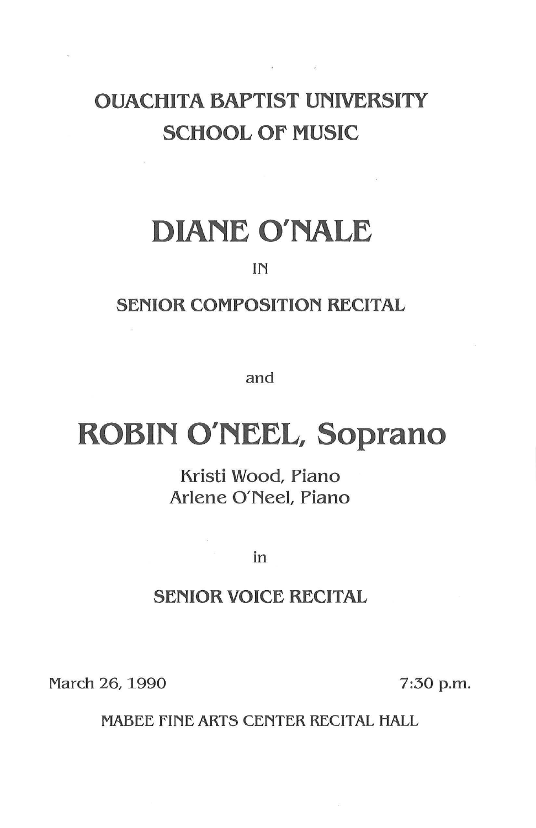# OUACHITA BAPTIST UNIVERSITY SCHOOL OF MUSIC

 $\mathcal{S} = \{ \mathcal{S} \}$  . The  $\mathcal{S}$ 

# DIANE O'NALE

## IN

# SENIOR COMPOSITION RECITAL

and

# ROBIN O'NEEL, Soprano

Kristi Wood, Piano Arlene O'Neel, Piano

in

## SENIOR VOICE RECITAL

March 26, 1990 7:30 p.m.

MABEE FINE ARTS CENTER RECITAL HALL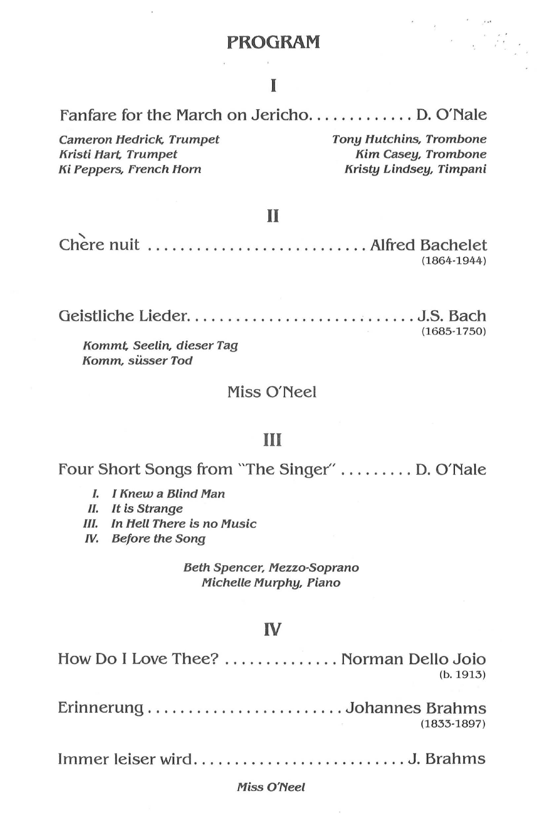### **PROGRAM**

# I

Fanfare for the March on Jericho.............. D. O'Nale

Cameron Hedrick. Trumpet Kristi Hart. Trumpet Ki Peppers, French Hom

Tony Hutchins, Trombone Kim Casey, Trombone Kristy Lindsey, Timpani

#### II

Chere nuit ............................. Alfred Bachelet (1864-1944)

Geistliche Lieder ............................ J.S. Bach Kommt. Seetin, dieser Tag Komm, siisser Tod (1685-1750)

### Miss O'Neel

### III

Four Short Songs from "The Singer" ......... D. O'Nale

- I. I Knew a Blind Man
- II. It is Strange
- */11.* In Hell There is no Music
- W. Before the Song

Beth Spencer, Mezzo-Soprano Michelle Murphy, Piano

#### IV

| How Do I Love Thee?  Norman Dello Joio<br>(b. 1913) |
|-----------------------------------------------------|
| $(1833 - 1897)$                                     |
|                                                     |

#### Miss O'Neel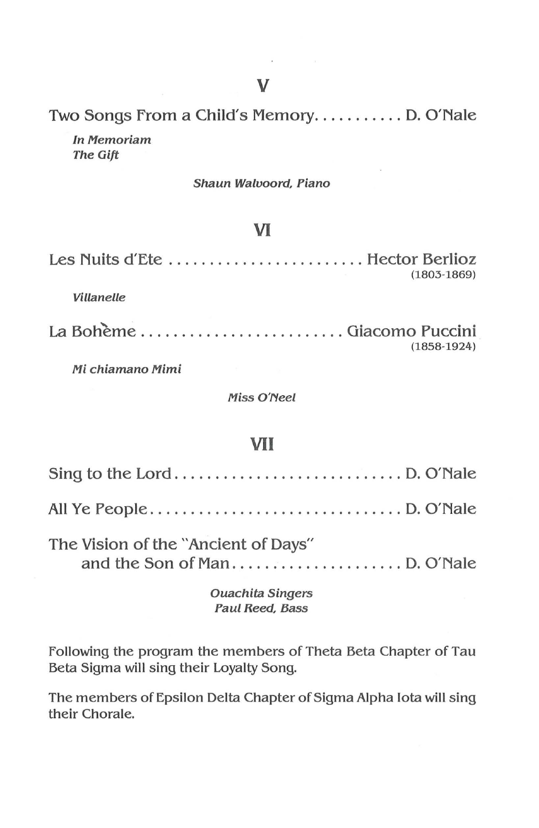Two Songs From a Child's Memory........... D. O'Nale In Memoriam

The Gift

#### Shaun Walvoord, Piano

# VI

| Les Nuits d'Ete  Hector Berlioz | $(1803 - 1869)$ |
|---------------------------------|-----------------|
| <i>Villanelle</i>               |                 |
| La Bohème  Giacomo Puccini      | $(1858-1924)$   |

Mi chiamano Mimi

Miss O'Neel

### VII

| The Vision of the "Ancient of Days" |  |
|-------------------------------------|--|

#### Ouachita Singers Paul Reed, Bass

Following the program the members of Theta Beta Chapter of Tau Beta Sigma will sing their Loyalty Song.

The members of Epsilon Delta Chapter of Sigma Alpha Iota will sing their Chorale.

 $\mathbf{r}$  and  $\mathbf{r}$  and  $\mathbf{r}$